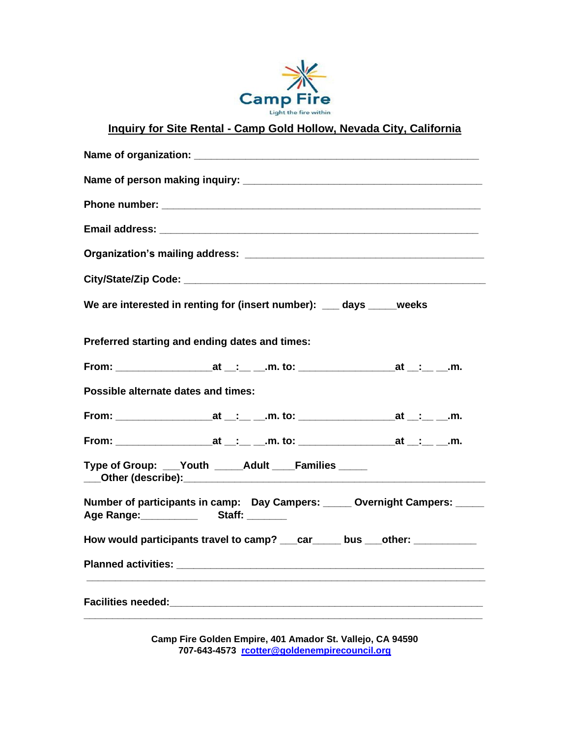

## **Inquiry for Site Rental - Camp Gold Hollow, Nevada City, California**

| We are interested in renting for (insert number): __ days ____ weeks                           |
|------------------------------------------------------------------------------------------------|
| Preferred starting and ending dates and times:                                                 |
| From: _______________________at __:__ __.m. to: _________________________at __:__ __.m.        |
| <b>Possible alternate dates and times:</b>                                                     |
| From: _________________________at __:__ __.m. to: _____________________________at __:______.m. |
| From: _________________________at __:__ __.m. to: _____________________________at __:__ __.m.  |
| Type of Group: __Youth ____Adult ___Families ____                                              |
| Number of participants in camp: Day Campers: _____ Overnight Campers: _____                    |
| How would participants travel to camp? ___car_____ bus ___other: __________                    |
|                                                                                                |
|                                                                                                |

**Camp Fire Golden Empire, 401 Amador St. Vallejo, CA 94590 707-643-4573 [rcotter@goldenempirecouncil.org](mailto:rcotter@goldenempirecouncil.org)**